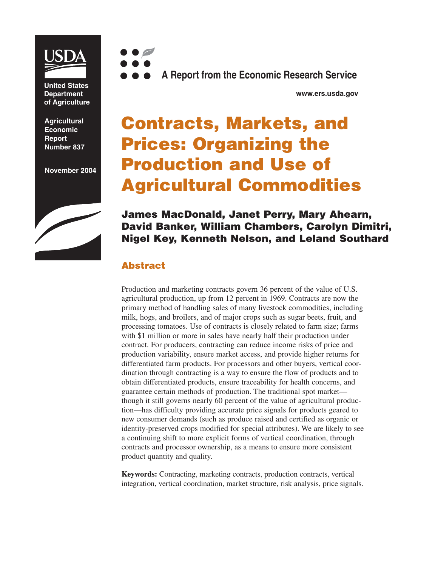

**United States Department of Agriculture**

**Agricultural Economic Report Number 837**

**November 2004**





**www.ers.usda.gov**

# **Contracts, Markets, and Prices: Organizing the Production and Use of Agricultural Commodities**

**James MacDonald, Janet Perry, Mary Ahearn, David Banker, William Chambers, Carolyn Dimitri, Nigel Key, Kenneth Nelson, and Leland Southard**

### **Abstract**

Production and marketing contracts govern 36 percent of the value of U.S. agricultural production, up from 12 percent in 1969. Contracts are now the primary method of handling sales of many livestock commodities, including milk, hogs, and broilers, and of major crops such as sugar beets, fruit, and processing tomatoes. Use of contracts is closely related to farm size; farms with \$1 million or more in sales have nearly half their production under contract. For producers, contracting can reduce income risks of price and production variability, ensure market access, and provide higher returns for differentiated farm products. For processors and other buyers, vertical coordination through contracting is a way to ensure the flow of products and to obtain differentiated products, ensure traceability for health concerns, and guarantee certain methods of production. The traditional spot market though it still governs nearly 60 percent of the value of agricultural production—has difficulty providing accurate price signals for products geared to new consumer demands (such as produce raised and certified as organic or identity-preserved crops modified for special attributes). We are likely to see a continuing shift to more explicit forms of vertical coordination, through contracts and processor ownership, as a means to ensure more consistent product quantity and quality.

**Keywords:** Contracting, marketing contracts, production contracts, vertical integration, vertical coordination, market structure, risk analysis, price signals.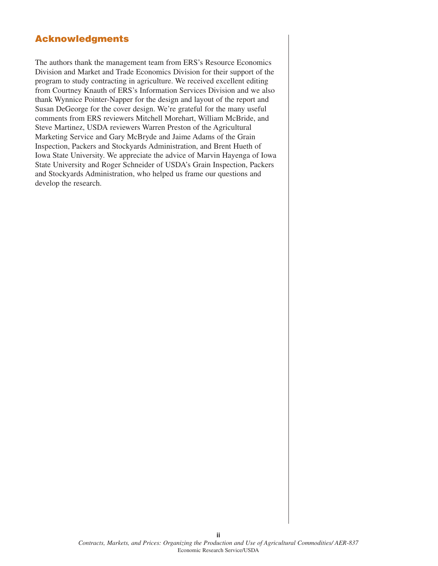#### **Acknowledgments**

The authors thank the management team from ERS's Resource Economics Division and Market and Trade Economics Division for their support of the program to study contracting in agriculture. We received excellent editing from Courtney Knauth of ERS's Information Services Division and we also thank Wynnice Pointer-Napper for the design and layout of the report and Susan DeGeorge for the cover design. We're grateful for the many useful comments from ERS reviewers Mitchell Morehart, William McBride, and Steve Martinez, USDA reviewers Warren Preston of the Agricultural Marketing Service and Gary McBryde and Jaime Adams of the Grain Inspection, Packers and Stockyards Administration, and Brent Hueth of Iowa State University. We appreciate the advice of Marvin Hayenga of Iowa State University and Roger Schneider of USDA's Grain Inspection, Packers and Stockyards Administration, who helped us frame our questions and develop the research.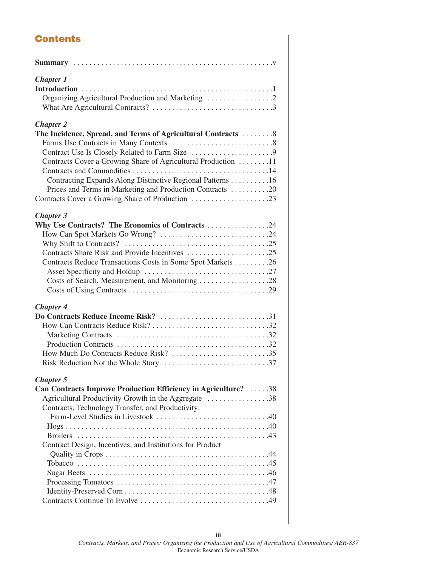## **Contents**

| <b>Chapter 1</b><br>Organizing Agricultural Production and Marketing 2                                                      |
|-----------------------------------------------------------------------------------------------------------------------------|
| <b>Chapter 2</b><br>The Incidence, Spread, and Terms of Agricultural Contracts  8                                           |
| Contracts Cover a Growing Share of Agricultural Production 11<br>Contracting Expands Along Distinctive Regional Patterns 16 |
| Prices and Terms in Marketing and Production Contracts 20                                                                   |
| <b>Chapter 3</b><br>Why Use Contracts? The Economics of Contracts 24                                                        |
|                                                                                                                             |
|                                                                                                                             |
|                                                                                                                             |
| Contracts Reduce Transactions Costs in Some Spot Markets 26                                                                 |
|                                                                                                                             |
|                                                                                                                             |
| <b>Chapter 4</b>                                                                                                            |
|                                                                                                                             |
|                                                                                                                             |
|                                                                                                                             |
| How Much Do Contracts Reduce Risk? 35                                                                                       |
|                                                                                                                             |
| <b>Chapter 5</b>                                                                                                            |
| Can Contracts Improve Production Efficiency in Agriculture? 38                                                              |
| Agricultural Productivity Growth in the Aggregate 38<br>Contracts, Technology Transfer, and Productivity:                   |
|                                                                                                                             |
|                                                                                                                             |
|                                                                                                                             |
| Contract Design, Incentives, and Institutions for Product                                                                   |
|                                                                                                                             |
|                                                                                                                             |
|                                                                                                                             |
|                                                                                                                             |
|                                                                                                                             |
|                                                                                                                             |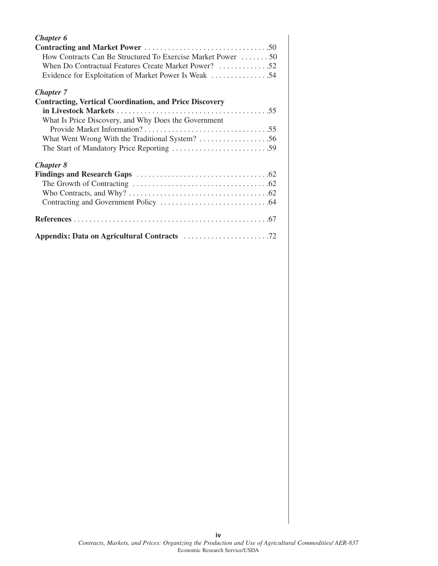| <b>Chapter 6</b>                                               |
|----------------------------------------------------------------|
|                                                                |
| How Contracts Can Be Structured To Exercise Market Power 50    |
| When Do Contractual Features Create Market Power? 52           |
|                                                                |
| <b>Chapter 7</b>                                               |
| <b>Contracting, Vertical Coordination, and Price Discovery</b> |
|                                                                |
| What Is Price Discovery, and Why Does the Government           |
|                                                                |
|                                                                |
|                                                                |
| <b>Chapter 8</b>                                               |
|                                                                |
|                                                                |
|                                                                |
|                                                                |
|                                                                |
|                                                                |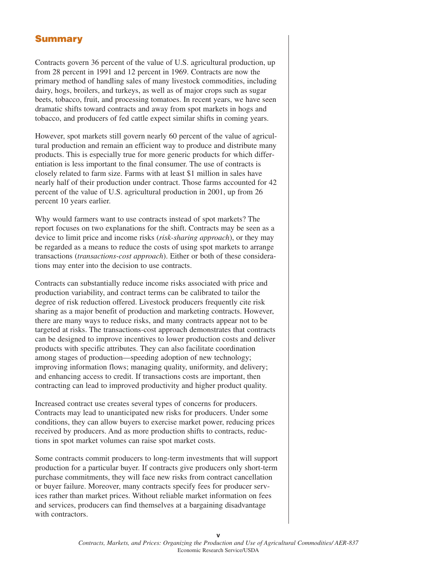#### **Summary**

Contracts govern 36 percent of the value of U.S. agricultural production, up from 28 percent in 1991 and 12 percent in 1969. Contracts are now the primary method of handling sales of many livestock commodities, including dairy, hogs, broilers, and turkeys, as well as of major crops such as sugar beets, tobacco, fruit, and processing tomatoes. In recent years, we have seen dramatic shifts toward contracts and away from spot markets in hogs and tobacco, and producers of fed cattle expect similar shifts in coming years.

However, spot markets still govern nearly 60 percent of the value of agricultural production and remain an efficient way to produce and distribute many products. This is especially true for more generic products for which differentiation is less important to the final consumer. The use of contracts is closely related to farm size. Farms with at least \$1 million in sales have nearly half of their production under contract. Those farms accounted for 42 percent of the value of U.S. agricultural production in 2001, up from 26 percent 10 years earlier.

Why would farmers want to use contracts instead of spot markets? The report focuses on two explanations for the shift. Contracts may be seen as a device to limit price and income risks (*risk-sharing approach*), or they may be regarded as a means to reduce the costs of using spot markets to arrange transactions (*transactions-cost approach*). Either or both of these considerations may enter into the decision to use contracts.

Contracts can substantially reduce income risks associated with price and production variability, and contract terms can be calibrated to tailor the degree of risk reduction offered. Livestock producers frequently cite risk sharing as a major benefit of production and marketing contracts. However, there are many ways to reduce risks, and many contracts appear not to be targeted at risks. The transactions-cost approach demonstrates that contracts can be designed to improve incentives to lower production costs and deliver products with specific attributes. They can also facilitate coordination among stages of production—speeding adoption of new technology; improving information flows; managing quality, uniformity, and delivery; and enhancing access to credit. If transactions costs are important, then contracting can lead to improved productivity and higher product quality.

Increased contract use creates several types of concerns for producers. Contracts may lead to unanticipated new risks for producers. Under some conditions, they can allow buyers to exercise market power, reducing prices received by producers. And as more production shifts to contracts, reductions in spot market volumes can raise spot market costs.

Some contracts commit producers to long-term investments that will support production for a particular buyer. If contracts give producers only short-term purchase commitments, they will face new risks from contract cancellation or buyer failure. Moreover, many contracts specify fees for producer services rather than market prices. Without reliable market information on fees and services, producers can find themselves at a bargaining disadvantage with contractors.